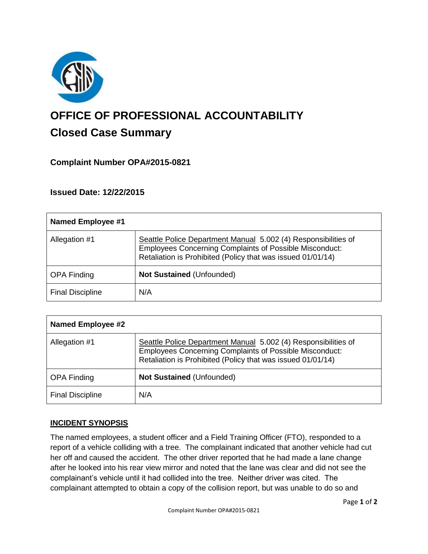

# **OFFICE OF PROFESSIONAL ACCOUNTABILITY Closed Case Summary**

# **Complaint Number OPA#2015-0821**

# **Issued Date: 12/22/2015**

| <b>Named Employee #1</b> |                                                                                                                                                                                                 |
|--------------------------|-------------------------------------------------------------------------------------------------------------------------------------------------------------------------------------------------|
| Allegation #1            | Seattle Police Department Manual 5.002 (4) Responsibilities of<br><b>Employees Concerning Complaints of Possible Misconduct:</b><br>Retaliation is Prohibited (Policy that was issued 01/01/14) |
| <b>OPA Finding</b>       | <b>Not Sustained (Unfounded)</b>                                                                                                                                                                |
| <b>Final Discipline</b>  | N/A                                                                                                                                                                                             |

| <b>Named Employee #2</b> |                                                                                                                                                                                                 |
|--------------------------|-------------------------------------------------------------------------------------------------------------------------------------------------------------------------------------------------|
| Allegation #1            | Seattle Police Department Manual 5.002 (4) Responsibilities of<br><b>Employees Concerning Complaints of Possible Misconduct:</b><br>Retaliation is Prohibited (Policy that was issued 01/01/14) |
| <b>OPA Finding</b>       | <b>Not Sustained (Unfounded)</b>                                                                                                                                                                |
| <b>Final Discipline</b>  | N/A                                                                                                                                                                                             |

# **INCIDENT SYNOPSIS**

The named employees, a student officer and a Field Training Officer (FTO), responded to a report of a vehicle colliding with a tree. The complainant indicated that another vehicle had cut her off and caused the accident. The other driver reported that he had made a lane change after he looked into his rear view mirror and noted that the lane was clear and did not see the complainant's vehicle until it had collided into the tree. Neither driver was cited. The complainant attempted to obtain a copy of the collision report, but was unable to do so and